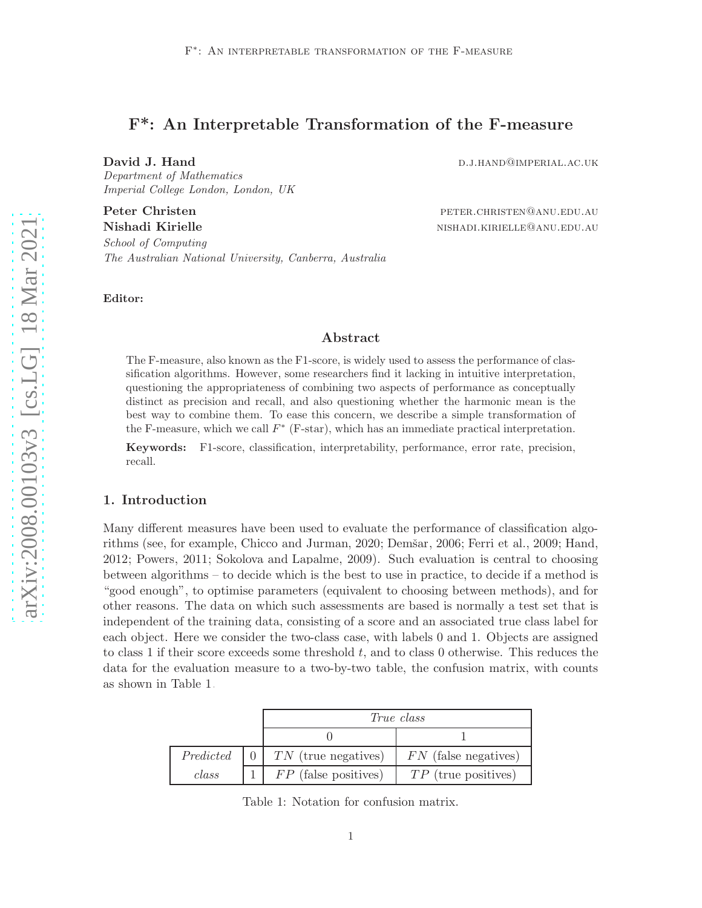# F\*: An Interpretable Transformation of the F-measure

David J. Hand D.J.HAND@IMPERIAL.AC.UK

*Department of Mathematics Imperial College London, London, UK*

Peter Christen **peter Christen** peter.christen@anu.edu.au

Nishadi Kirielle nishadi.kirielle nishadi.kirielle@anu.edu.au *School of Computing The Australian National University, Canberra, Australia*

Editor:

### Abstract

The F-measure, also known as the F1-score, is widely used to assess the performance of classification algorithms. However, some researchers find it lacking in intuitive interpretation, questioning the appropriateness of combining two aspects of performance as conceptually distinct as precision and recall, and also questioning whether the harmonic mean is the best way to combine them. To ease this concern, we describe a simple transformation of the F-measure, which we call  $F^*$  (F-star), which has an immediate practical interpretation.

Keywords: F1-score, classification, interpretability, performance, error rate, precision, recall.

### 1. Introduction

Many different measures have been used to evaluate the performance of classification algo-rithms (see, for example, [Chicco and Jurman, 2020;](#page-5-0) Demšar, [2006](#page-5-1); [Ferri et al.](#page-5-2), [2009;](#page-5-2) [Hand](#page-5-3), [2012;](#page-5-3) [Powers](#page-6-0), [2011](#page-6-0); [Sokolova and Lapalme, 2009\)](#page-6-1). Such evaluation is central to choosing between algorithms – to decide which is the best to use in practice, to decide if a method is "good enough", to optimise parameters (equivalent to choosing between methods), and for other reasons. The data on which such assessments are based is normally a test set that is independent of the training data, consisting of a score and an associated true class label for each object. Here we consider the two-class case, with labels 0 and 1. Objects are assigned to class 1 if their score exceeds some threshold t, and to class 0 otherwise. This reduces the data for the evaluation measure to a two-by-two table, the confusion matrix, with counts as shown in Table [1.](#page-0-0)

|           |  | <i>True class</i>      |                        |
|-----------|--|------------------------|------------------------|
|           |  |                        |                        |
| Predicted |  | $TN$ (true negatives)  | $FN$ (false negatives) |
| class     |  | $FP$ (false positives) | $TP$ (true positives)  |

<span id="page-0-0"></span>Table 1: Notation for confusion matrix.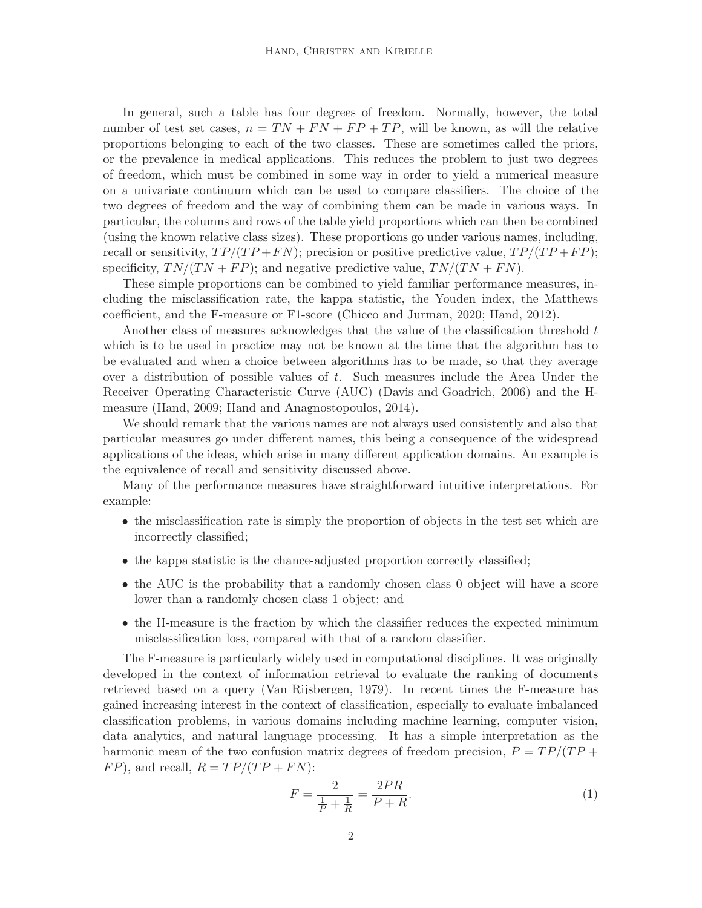In general, such a table has four degrees of freedom. Normally, however, the total number of test set cases,  $n = TN + FN + FP + TP$ , will be known, as will the relative proportions belonging to each of the two classes. These are sometimes called the priors, or the prevalence in medical applications. This reduces the problem to just two degrees of freedom, which must be combined in some way in order to yield a numerical measure on a univariate continuum which can be used to compare classifiers. The choice of the two degrees of freedom and the way of combining them can be made in various ways. In particular, the columns and rows of the table yield proportions which can then be combined (using the known relative class sizes). These proportions go under various names, including, recall or sensitivity,  $TP/(TP + FN)$ ; precision or positive predictive value,  $TP/(TP + FP)$ ; specificity,  $TN/(TN + FP)$ ; and negative predictive value,  $TN/(TN + FN)$ .

These simple proportions can be combined to yield familiar performance measures, including the misclassification rate, the kappa statistic, the Youden index, the Matthews coefficient, and the F-measure or F1-score [\(Chicco and Jurman, 2020](#page-5-0); [Hand, 2012](#page-5-3)).

Another class of measures acknowledges that the value of the classification threshold t which is to be used in practice may not be known at the time that the algorithm has to be evaluated and when a choice between algorithms has to be made, so that they average over a distribution of possible values of  $t$ . Such measures include the Area Under the Receiver Operating Characteristic Curve (AUC) [\(Davis and Goadrich](#page-5-4), [2006\)](#page-5-4) and the Hmeasure [\(Hand](#page-5-5), [2009](#page-5-5); [Hand and Anagnostopoulos, 2014](#page-5-6)).

We should remark that the various names are not always used consistently and also that particular measures go under different names, this being a consequence of the widespread applications of the ideas, which arise in many different application domains. An example is the equivalence of recall and sensitivity discussed above.

Many of the performance measures have straightforward intuitive interpretations. For example:

- the misclassification rate is simply the proportion of objects in the test set which are incorrectly classified;
- the kappa statistic is the chance-adjusted proportion correctly classified;
- the AUC is the probability that a randomly chosen class 0 object will have a score lower than a randomly chosen class 1 object; and
- the H-measure is the fraction by which the classifier reduces the expected minimum misclassification loss, compared with that of a random classifier.

The F-measure is particularly widely used in computational disciplines. It was originally developed in the context of information retrieval to evaluate the ranking of documents retrieved based on a query [\(Van Rijsbergen](#page-6-2), [1979](#page-6-2)). In recent times the F-measure has gained increasing interest in the context of classification, especially to evaluate imbalanced classification problems, in various domains including machine learning, computer vision, data analytics, and natural language processing. It has a simple interpretation as the harmonic mean of the two confusion matrix degrees of freedom precision,  $P = TP/(TP +$  $FP$ ), and recall,  $R = TP/(TP + FN)$ :

$$
F = \frac{2}{\frac{1}{P} + \frac{1}{R}} = \frac{2PR}{P + R}.
$$
\n(1)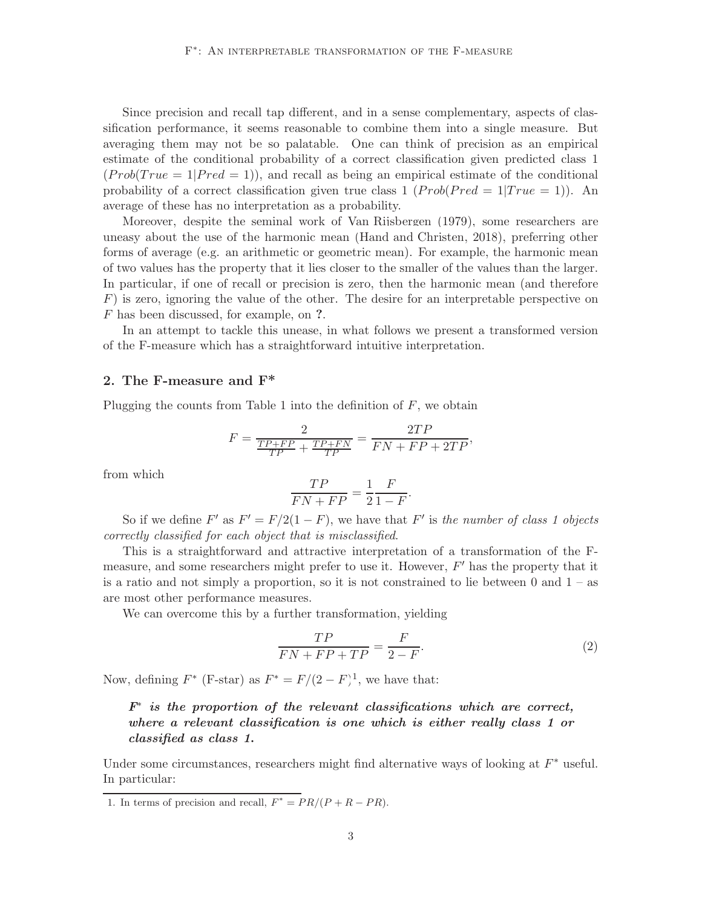Since precision and recall tap different, and in a sense complementary, aspects of classification performance, it seems reasonable to combine them into a single measure. But averaging them may not be so palatable. One can think of precision as an empirical estimate of the conditional probability of a correct classification given predicted class 1  $(Prob(True = 1|Pred = 1))$ , and recall as being an empirical estimate of the conditional probability of a correct classification given true class  $1 (Prob(Pred = 1) True = 1)$ . An average of these has no interpretation as a probability.

Moreover, despite the seminal work of [Van Rijsbergen \(1979\)](#page-6-2), some researchers are uneasy about the use of the harmonic mean [\(Hand and Christen](#page-5-7), [2018](#page-5-7)), preferring other forms of average (e.g. an arithmetic or geometric mean). For example, the harmonic mean of two values has the property that it lies closer to the smaller of the values than the larger. In particular, if one of recall or precision is zero, then the harmonic mean (and therefore  $F$ ) is zero, ignoring the value of the other. The desire for an interpretable perspective on F has been discussed, for example, on ?.

In an attempt to tackle this unease, in what follows we present a transformed version of the F-measure which has a straightforward intuitive interpretation.

## 2. The F-measure and F\*

Plugging the counts from Table [1](#page-0-0) into the definition of  $F$ , we obtain

$$
F=\frac{2}{\frac{TP+FP}{TP}+\frac{TP+FN}{TP}}=\frac{2TP}{FN+FP+2TP},
$$

from which

$$
\frac{TP}{FN + FP} = \frac{1}{2} \frac{F}{1 - F}.
$$

So if we define  $F'$  as  $F' = F/2(1 - F)$ , we have that  $F'$  is the number of class 1 objects *correctly classified for each object that is misclassified*.

This is a straightforward and attractive interpretation of a transformation of the Fmeasure, and some researchers might prefer to use it. However,  $F'$  has the property that it is a ratio and not simply a proportion, so it is not constrained to lie between  $0$  and  $1 - as$ are most other performance measures.

We can overcome this by a further transformation, yielding

$$
\frac{TP}{FN + FP + TP} = \frac{F}{2 - F}.\tag{2}
$$

Now, defining  $F^*$  (F-star) as  $F^* = F/(2 - F)^1$  $F^* = F/(2 - F)^1$ , we have that:

# $F^*$  is the proportion of the relevant classifications which are correct, where a relevant classification is one which is either really class 1 or classified as class 1.

Under some circumstances, researchers might find alternative ways of looking at  $F^*$  useful. In particular:

<span id="page-2-0"></span><sup>1.</sup> In terms of precision and recall,  $F^* = PR/(P + R - PR)$ .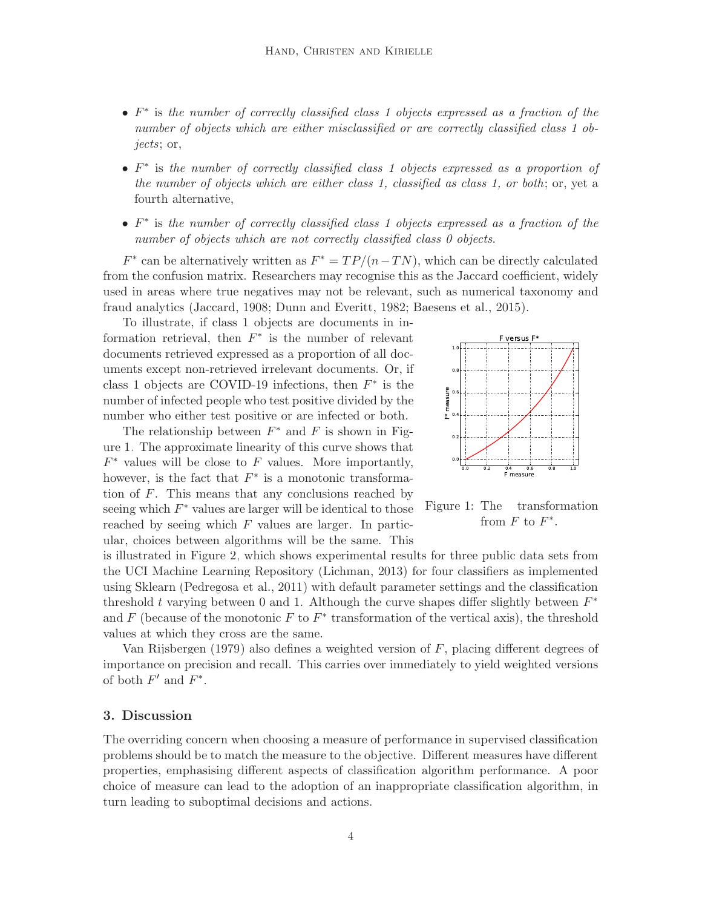- F ∗ is *the number of correctly classified class 1 objects expressed as a fraction of the number of objects which are either misclassified or are correctly classified class 1 objects*; or,
- F ∗ is *the number of correctly classified class 1 objects expressed as a proportion of the number of objects which are either class 1, classified as class 1, or both*; or, yet a fourth alternative,
- F ∗ is *the number of correctly classified class 1 objects expressed as a fraction of the number of objects which are not correctly classified class 0 objects*.

 $F^*$  can be alternatively written as  $F^* = TP/(n-TN)$ , which can be directly calculated from the confusion matrix. Researchers may recognise this as the Jaccard coefficient, widely used in areas where true negatives may not be relevant, such as numerical taxonomy and fraud analytics [\(Jaccard](#page-5-8), [1908;](#page-5-8) [Dunn and Everitt](#page-5-9), [1982;](#page-5-9) [Baesens et al., 2015](#page-5-10)).

To illustrate, if class 1 objects are documents in information retrieval, then  $F^*$  is the number of relevant documents retrieved expressed as a proportion of all documents except non-retrieved irrelevant documents. Or, if class 1 objects are COVID-19 infections, then  $F^*$  is the number of infected people who test positive divided by the number who either test positive or are infected or both.

The relationship between  $F^*$  and  $F$  is shown in Figure [1.](#page-3-0) The approximate linearity of this curve shows that  $F^*$  values will be close to  $F$  values. More importantly, however, is the fact that  $F^*$  is a monotonic transformation of F. This means that any conclusions reached by seeing which  $F^*$  values are larger will be identical to those reached by seeing which  $F$  values are larger. In particular, choices between algorithms will be the same. This



<span id="page-3-0"></span>Figure 1: The transformation from  $F$  to  $F^*$ .

is illustrated in Figure [2,](#page-4-0) which shows experimental results for three public data sets from the UCI Machine Learning Repository [\(Lichman](#page-5-11), [2013](#page-5-11)) for four classifiers as implemented using Sklearn [\(Pedregosa et al.](#page-6-3), [2011](#page-6-3)) with default parameter settings and the classification threshold t varying between 0 and 1. Although the curve shapes differ slightly between  $F^*$ and F (because of the monotonic F to  $F^*$  transformation of the vertical axis), the threshold values at which they cross are the same.

[Van Rijsbergen \(1979](#page-6-2)) also defines a weighted version of  $F$ , placing different degrees of importance on precision and recall. This carries over immediately to yield weighted versions of both  $F'$  and  $F^*$ .

### 3. Discussion

The overriding concern when choosing a measure of performance in supervised classification problems should be to match the measure to the objective. Different measures have different properties, emphasising different aspects of classification algorithm performance. A poor choice of measure can lead to the adoption of an inappropriate classification algorithm, in turn leading to suboptimal decisions and actions.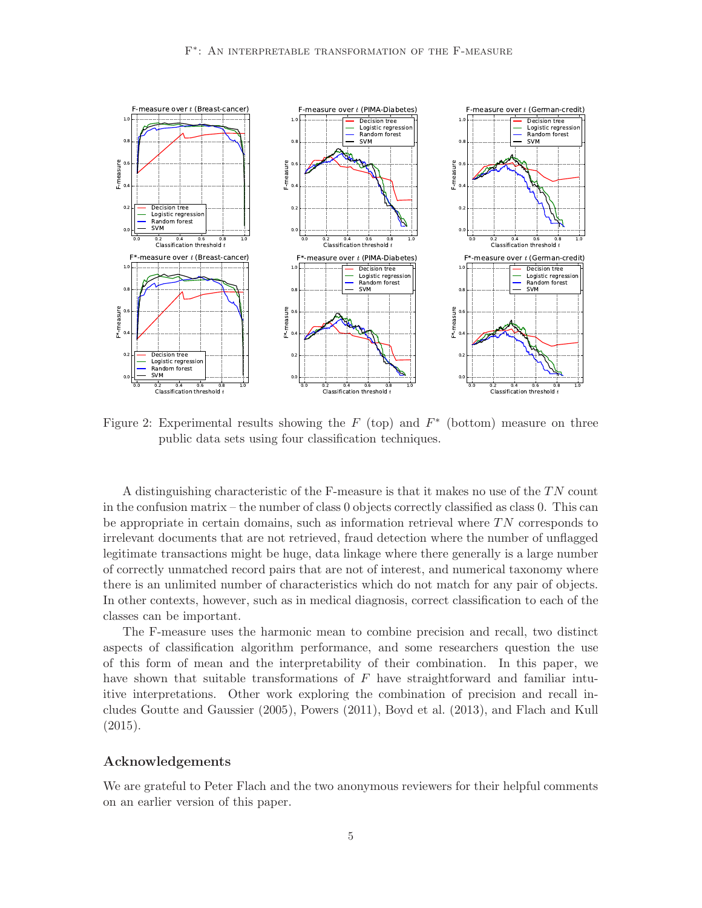

<span id="page-4-0"></span>Figure 2: Experimental results showing the  $F$  (top) and  $F^*$  (bottom) measure on three public data sets using four classification techniques.

A distinguishing characteristic of the F-measure is that it makes no use of the  $TN$  count in the confusion matrix – the number of class 0 objects correctly classified as class 0. This can be appropriate in certain domains, such as information retrieval where  $TN$  corresponds to irrelevant documents that are not retrieved, fraud detection where the number of unflagged legitimate transactions might be huge, data linkage where there generally is a large number of correctly unmatched record pairs that are not of interest, and numerical taxonomy where there is an unlimited number of characteristics which do not match for any pair of objects. In other contexts, however, such as in medical diagnosis, correct classification to each of the classes can be important.

The F-measure uses the harmonic mean to combine precision and recall, two distinct aspects of classification algorithm performance, and some researchers question the use of this form of mean and the interpretability of their combination. In this paper, we have shown that suitable transformations of  $F$  have straightforward and familiar intuitive interpretations. Other work exploring the combination of precision and recall includes [Goutte and Gaussier \(2005](#page-5-12)), [Powers \(2011](#page-6-0)), [Boyd et al. \(2013](#page-5-13)), and [Flach and Kull](#page-5-14) [\(2015](#page-5-14)).

### Acknowledgements

We are grateful to Peter Flach and the two anonymous reviewers for their helpful comments on an earlier version of this paper.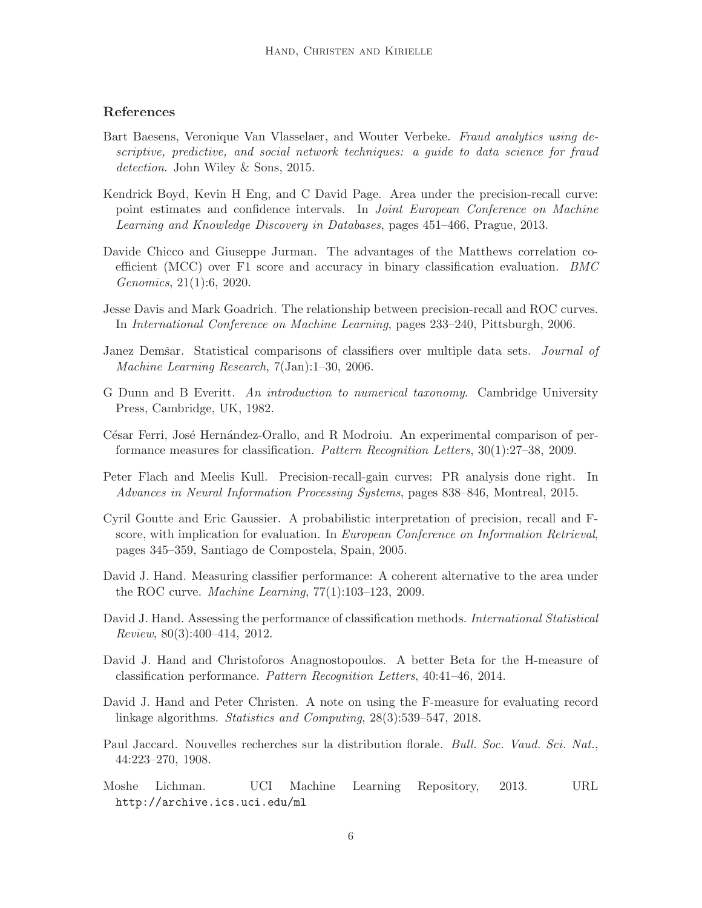## References

- <span id="page-5-10"></span>Bart Baesens, Veronique Van Vlasselaer, and Wouter Verbeke. *Fraud analytics using descriptive, predictive, and social network techniques: a guide to data science for fraud detection*. John Wiley & Sons, 2015.
- <span id="page-5-13"></span>Kendrick Boyd, Kevin H Eng, and C David Page. Area under the precision-recall curve: point estimates and confidence intervals. In *Joint European Conference on Machine Learning and Knowledge Discovery in Databases*, pages 451–466, Prague, 2013.
- <span id="page-5-0"></span>Davide Chicco and Giuseppe Jurman. The advantages of the Matthews correlation coefficient (MCC) over F1 score and accuracy in binary classification evaluation. *BMC Genomics*, 21(1):6, 2020.
- <span id="page-5-4"></span>Jesse Davis and Mark Goadrich. The relationship between precision-recall and ROC curves. In *International Conference on Machine Learning*, pages 233–240, Pittsburgh, 2006.
- <span id="page-5-1"></span>Janez Demšar. Statistical comparisons of classifiers over multiple data sets. *Journal of Machine Learning Research*, 7(Jan):1–30, 2006.
- <span id="page-5-9"></span>G Dunn and B Everitt. *An introduction to numerical taxonomy*. Cambridge University Press, Cambridge, UK, 1982.
- <span id="page-5-2"></span>César Ferri, José Hernández-Orallo, and R Modroiu. An experimental comparison of performance measures for classification. *Pattern Recognition Letters*, 30(1):27–38, 2009.
- <span id="page-5-14"></span>Peter Flach and Meelis Kull. Precision-recall-gain curves: PR analysis done right. In *Advances in Neural Information Processing Systems*, pages 838–846, Montreal, 2015.
- <span id="page-5-12"></span>Cyril Goutte and Eric Gaussier. A probabilistic interpretation of precision, recall and Fscore, with implication for evaluation. In *European Conference on Information Retrieval*, pages 345–359, Santiago de Compostela, Spain, 2005.
- <span id="page-5-5"></span>David J. Hand. Measuring classifier performance: A coherent alternative to the area under the ROC curve. *Machine Learning*, 77(1):103–123, 2009.
- <span id="page-5-3"></span>David J. Hand. Assessing the performance of classification methods. *International Statistical Review*, 80(3):400–414, 2012.
- <span id="page-5-6"></span>David J. Hand and Christoforos Anagnostopoulos. A better Beta for the H-measure of classification performance. *Pattern Recognition Letters*, 40:41–46, 2014.
- <span id="page-5-7"></span>David J. Hand and Peter Christen. A note on using the F-measure for evaluating record linkage algorithms. *Statistics and Computing*, 28(3):539–547, 2018.
- <span id="page-5-8"></span>Paul Jaccard. Nouvelles recherches sur la distribution florale. *Bull. Soc. Vaud. Sci. Nat.*, 44:223–270, 1908.
- <span id="page-5-11"></span>Moshe Lichman. UCI Machine Learning Repository, 2013. URL <http://archive.ics.uci.edu/ml>.